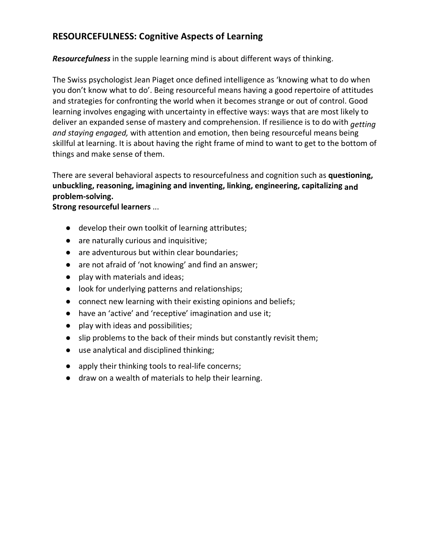## **RESOURCEFULNESS: Cognitive Aspects of Learning**

*Resourcefulness* in the supple learning mind is about different ways of thinking.

The Swiss psychologist Jean Piaget once defined intelligence as 'knowing what to do when you don't know what to do'. Being resourceful means having a good repertoire of attitudes and strategies for confronting the world when it becomes strange or out of control. Good learning involves engaging with uncertainty in effective ways: ways that are most likely to deliver an expanded sense of mastery and comprehension. If resilience is to do with *getting and staying engaged,* with attention and emotion, then being resourceful means being skillful at learning. It is about having the right frame of mind to want to get to the bottom of things and make sense of them.

There are several behavioral aspects to resourcefulness and cognition such as **questioning, unbuckling, reasoning, imagining and inventing, linking, engineering, capitalizing and problem-solving.**

**Strong resourceful learners** ...

- develop their own toolkit of learning attributes;
- are naturally curious and inquisitive;
- are adventurous but within clear boundaries;
- are not afraid of 'not knowing' and find an answer;
- play with materials and ideas;
- look for underlying patterns and relationships;
- connect new learning with their existing opinions and beliefs;
- have an 'active' and 'receptive' imagination and use it;
- play with ideas and possibilities;
- slip problems to the back of their minds but constantly revisit them;
- use analytical and disciplined thinking;
- apply their thinking tools to real-life concerns;
- draw on a wealth of materials to help their learning.